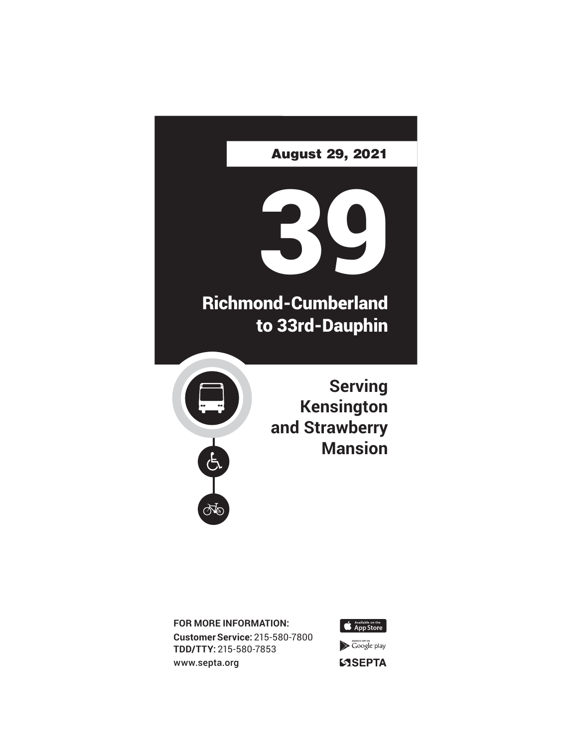

**FOR MORE INFORMATION: Customer Service:** 215-580-7800 **TDD/TTY:** 215-580-7853 www.septa.org



 $\blacktriangleright$  Google play **SSEPTA**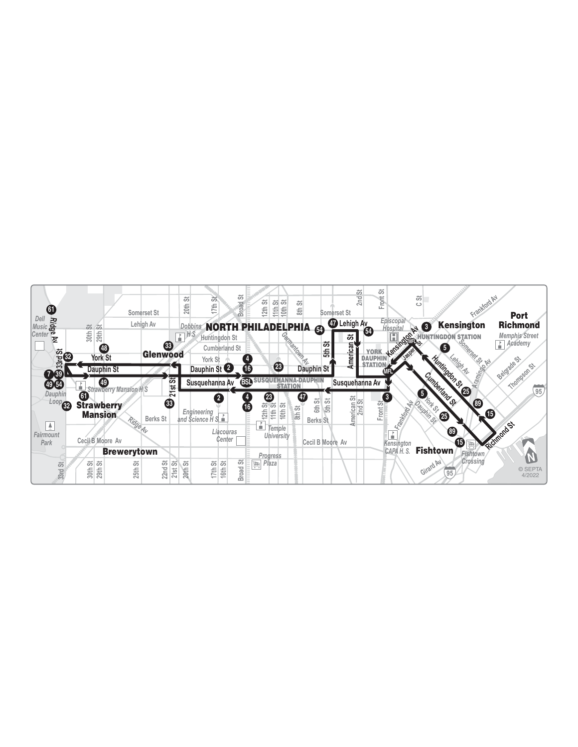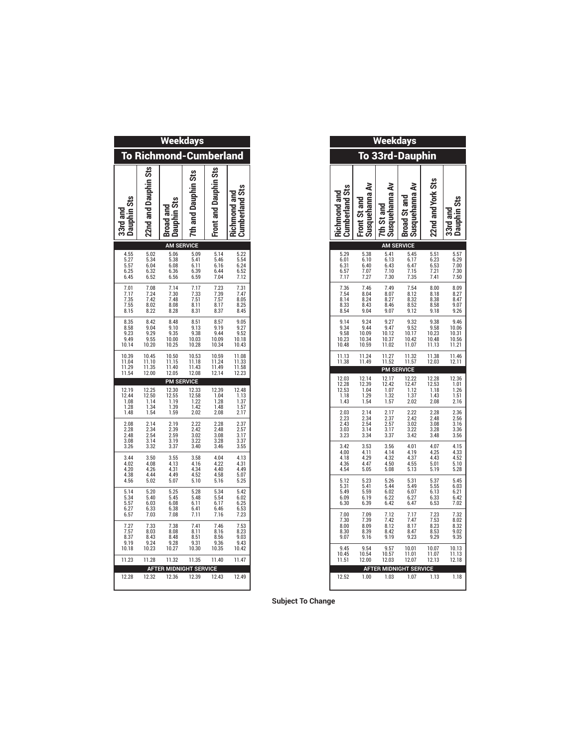| <b>Weekdays</b>                              |                                                  |                                                                |                                              |                                              |                                                     |
|----------------------------------------------|--------------------------------------------------|----------------------------------------------------------------|----------------------------------------------|----------------------------------------------|-----------------------------------------------------|
| <b>To Richmond-Cumberland</b>                |                                                  |                                                                |                                              |                                              |                                                     |
| 33rd and<br>Dauphin Sts                      | 22nd and Dauphin Sts                             | Broad and<br>  Dauphin Sts                                     | 7th and Dauphin Sts                          | Front and Dauphin Sts                        | Richmond and<br>Cumberland Sts                      |
| 4.55                                         | 5.02                                             | <b>AM SERVICE</b>                                              | 5.09                                         | 5.14                                         |                                                     |
| $\frac{5.27}{5.57}$<br>6.25<br>6.45          | $\frac{5.34}{6.04}$<br>6.32<br>6.52              | 5.06<br>5.38<br>6.08<br>6.36<br>6.56                           | 5.41<br>6.11<br>6.39<br>6.59                 | 5.46<br>6.16<br>$6.44$<br>$7.04$             | 5.22<br>5.54<br>6.24<br>6.52<br>7.12                |
| 7.01<br>7.17<br>7.35<br>7.55<br>8.15         | 7.08<br>7.24<br>7.42<br>8.02<br>8.22             | 7.14<br>7.30<br>7.48<br>8.08<br>8.28                           | 7.17<br>7.33<br>7.51<br>8.11<br>8.31         | 7.23<br>7.39<br>7.57<br>8.17<br>8.37         | 7.31<br>$7.47$<br>8.05<br>8.25<br>8.45              |
| 8.35<br>8.58<br>9.23<br>9.49<br>10.14        | 8.42<br>9.04<br>9.29<br>9.55<br>10.20            | 8.48<br>9.10<br>9.35<br>10.00<br>10.25                         | 8.51<br>9.13<br>9.38<br>10.03<br>10.28       | $8.57$<br>$9.19$<br>9.44<br>10.09<br>10.34   | 9.05<br>9.27<br>9.52<br>10.18<br>10.43              |
| 10.39<br>11.04<br>11.29<br>11.54             | 10.45<br>11.10<br>11.35<br>12.00                 | 10.50<br>$\frac{11.15}{11.40}$<br>12.05                        | 10.53<br>$\frac{11.18}{11.43}$<br>12.08      | 10.59<br>11.24<br>11.49<br>12.14             | 11.08<br>$\frac{11.33}{11.58}$<br>12.23             |
|                                              |                                                  |                                                                |                                              |                                              |                                                     |
|                                              |                                                  | <b>PM SERVICE</b>                                              |                                              |                                              |                                                     |
| 12.19<br>12.44<br>1.08<br>1.28               | 12.25<br>12.50<br>1.14<br>1.34                   | 12.30<br>12.55<br>1.19<br>1.39                                 | 12.33<br>12.58<br>1.22<br>1.42               | 12.39<br>1.04<br>$\frac{1.28}{1.48}$         | 12.48<br>1.13<br>$\frac{1.37}{1.57}$                |
| 1.48<br>2.08<br>2.28<br>2.48<br>3.08<br>3.26 | 1.54<br>2.14<br>$2.34$<br>$2.54$<br>3.14<br>3.32 | 1.59<br>2.19<br>2.39<br>2.59<br>3.19<br>3.37                   | 2.02<br>2.22<br>2.42<br>3.02<br>3.22<br>3.40 | 2.08<br>2.28<br>2.48<br>3.08<br>3.28<br>3.46 | 2.17<br>2.37<br>2.57<br>3.17<br>$\frac{3.37}{3.55}$ |
| 3.44<br>4.02<br>4.20<br>4.38                 | 3.50<br>4.08<br>4.26<br>4.44                     | 3.55<br>4.13<br>4.31<br>4.49                                   | 3.58<br>4.16<br>4.34<br>4.52                 | 4.04<br>4.22<br>4.40<br>4.58                 | 4.13<br>$4.31$<br>$4.49$<br>5.07                    |
| 4.56<br>5.14<br>5.34                         | 5.02<br>5.20<br>5.40                             | 5.07<br>5.25<br>5.45                                           | 5.10<br>5.28<br>5.48<br>6.11                 | 5.16<br>5.34<br>5.54<br>6.17                 | 5.25<br>5.42<br>6.02                                |
| $\frac{5.57}{6.27}$<br>6.57<br>7.27          | $6.03$<br>$6.33$<br>7.03<br>7.33                 | $6.08$<br>$6.38$<br>7.08<br>7.38                               | 6.41<br>7.11<br>7.41                         | 6.46<br>7.16<br>7.46                         | $6.25$<br>$6.53$<br>7.23<br>7.53                    |
| 7.57<br>8.37<br>9.19                         | 8.03                                             | 8.08<br>8.48                                                   | 8.11<br>8.51                                 | 8.16<br>8.56<br>9.36                         | 8.23<br>9.03<br>9.43                                |
| 10.18<br>11.23                               | $8.43$<br>$9.24$<br>$10.23$<br>11.28             | $\frac{9.28}{10.27}$<br>11.32<br><b>AFTER MIDNIGHT SERVICE</b> | $\frac{9.31}{10.30}$<br>11.35                | 10.35<br>11.40                               | 10.42<br>11.47                                      |

|                                         | <b>Weekdays</b>                         |                                         |                                              |
|-----------------------------------------|-----------------------------------------|-----------------------------------------|----------------------------------------------|
| <b>To 33rd-Dauphin</b>                  |                                         |                                         |                                              |
| ₹<br>Susquehanna<br><b>Broad St and</b> | ₹<br>Susquehanna<br>7th St and          | ⋧<br>Susquehanna<br>Front St and        | <b>Cumberland Sts</b><br><b>Richmond and</b> |
|                                         | <b>AM SERVICE</b><br>5.41               | 5.38                                    | 5.29                                         |
| 5.45<br>6.17<br>6.47<br>7.15<br>7.35    | 6.13<br>6.43<br>7.10<br>7.30            | 6.10<br>6.40<br>7.07<br>7.27            | 6.01<br>6.31<br>6.57<br>7.17                 |
| 7.54<br>8.12<br>8.32<br>8.52<br>9.12    | 7.49<br>8.07<br>8.27<br>8.46<br>9.07    | 7.46<br>8.04<br>8.24<br>8.43<br>9.04    | 8.14                                         |
| 9.32<br>9.52<br>10.17<br>10.42<br>11.07 | 9.27<br>9.47<br>10.12<br>10.37<br>11.02 | 9.24<br>9.44<br>10.09<br>10.34<br>10.59 | 9.14<br>9.34<br>9.58<br>10.23<br>10.48       |
| 11.32<br>11.57                          | 11.27<br>11.52<br><b>PM SERVICE</b>     | 11.24<br>11.49                          | 11.13<br>11.38                               |
| 12.22                                   | 12.17                                   | 12.14                                   | 12.03                                        |
| 12.47<br>1.12<br>1.37<br>2.02           | 12.42<br>1.07<br>1.32<br>1.57           | 12.39<br>1.04<br>1.29<br>1.54           | 12.28<br>12.53<br>1.18<br>1.43               |
| 2.22<br>2.42<br>3.02                    | 2.17<br>2.37<br>2.57                    | 2.14<br>2.34<br>2.54                    | 2.03<br>2.23<br>2.43                         |
| 3.22<br>3.42                            | 3.17<br>3.37                            | 3.14<br>3.34                            | 3.03<br>3.23                                 |
| 4.01<br>4.19<br>4.37<br>4.55<br>5.13    | 3.56<br>4.14<br>4.32<br>4.50<br>5.08    | 3.53<br>4.11<br>4.29<br>4.47<br>5.05    | 3.42<br>4.00<br>4.18<br>4.36<br>4.54         |
| 5.31<br>5.49                            | 5.26<br>5.44                            | 5.23<br>5.41                            | 5.12<br>5.31                                 |
| 6.07<br>6.27<br>6.47                    | 6.02<br>6.22<br>6.42                    | 5.59<br>6.19<br>6.39                    | 5.49<br>6.09<br>6.30                         |
| 7.17<br>7.47<br>8.17                    | 7.12<br>7.42<br>8.12                    | 7.09<br>7.39<br>8.09                    | 7.00<br>7.30<br>8.00                         |
| 8.47<br>9.23                            | 8.42<br>9.19                            | 8.39<br>9.16                            | 8.30<br>9.07<br>9.45                         |
| 10.01<br>11.01<br>12.07                 | $9.57$<br>10.57<br>12.03                | 9.54<br>10.54<br>12.00                  |                                              |
| <b>AFTER MIDNIGHT SERVICE</b><br>1.07   | 1.03                                    | 1.00                                    | 12.52                                        |
|                                         |                                         |                                         |                                              |

**Subject To Change**